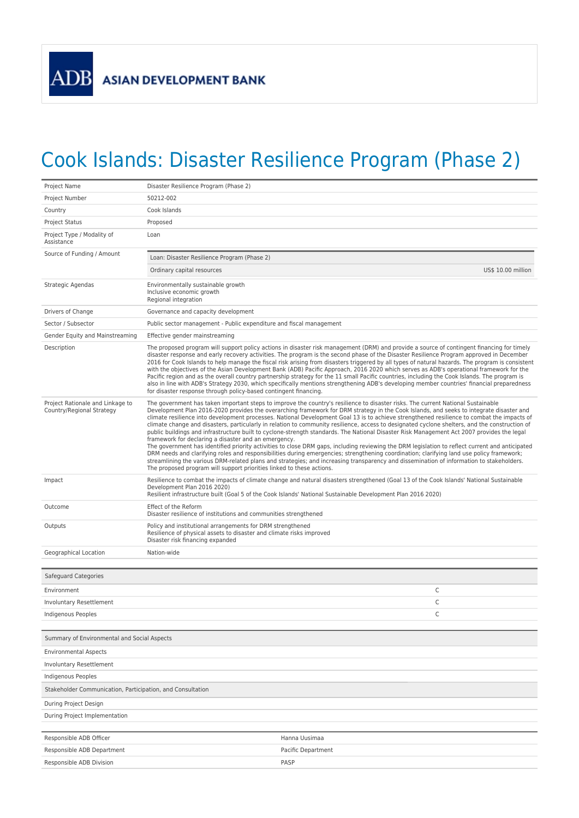## Cook Islands: Disaster Resilience Program (Phase 2)

| Project Name                                                  | Disaster Resilience Program (Phase 2)                                                                                                                                                                                                                                                                                                                                                                                                                                                                                                                                                                                                                                                                                                                                                                                                                                                                                                                                                                                                                                                                                                                                                                                                                                                                  |  |
|---------------------------------------------------------------|--------------------------------------------------------------------------------------------------------------------------------------------------------------------------------------------------------------------------------------------------------------------------------------------------------------------------------------------------------------------------------------------------------------------------------------------------------------------------------------------------------------------------------------------------------------------------------------------------------------------------------------------------------------------------------------------------------------------------------------------------------------------------------------------------------------------------------------------------------------------------------------------------------------------------------------------------------------------------------------------------------------------------------------------------------------------------------------------------------------------------------------------------------------------------------------------------------------------------------------------------------------------------------------------------------|--|
| Project Number                                                | 50212-002                                                                                                                                                                                                                                                                                                                                                                                                                                                                                                                                                                                                                                                                                                                                                                                                                                                                                                                                                                                                                                                                                                                                                                                                                                                                                              |  |
| Country                                                       | Cook Islands                                                                                                                                                                                                                                                                                                                                                                                                                                                                                                                                                                                                                                                                                                                                                                                                                                                                                                                                                                                                                                                                                                                                                                                                                                                                                           |  |
| <b>Project Status</b>                                         | Proposed                                                                                                                                                                                                                                                                                                                                                                                                                                                                                                                                                                                                                                                                                                                                                                                                                                                                                                                                                                                                                                                                                                                                                                                                                                                                                               |  |
| Project Type / Modality of<br>Assistance                      | Loan                                                                                                                                                                                                                                                                                                                                                                                                                                                                                                                                                                                                                                                                                                                                                                                                                                                                                                                                                                                                                                                                                                                                                                                                                                                                                                   |  |
| Source of Funding / Amount                                    | Loan: Disaster Resilience Program (Phase 2)                                                                                                                                                                                                                                                                                                                                                                                                                                                                                                                                                                                                                                                                                                                                                                                                                                                                                                                                                                                                                                                                                                                                                                                                                                                            |  |
|                                                               | Ordinary capital resources<br>US\$ 10.00 million                                                                                                                                                                                                                                                                                                                                                                                                                                                                                                                                                                                                                                                                                                                                                                                                                                                                                                                                                                                                                                                                                                                                                                                                                                                       |  |
| Strategic Agendas                                             | Environmentally sustainable growth<br>Inclusive economic growth<br>Regional integration                                                                                                                                                                                                                                                                                                                                                                                                                                                                                                                                                                                                                                                                                                                                                                                                                                                                                                                                                                                                                                                                                                                                                                                                                |  |
| Drivers of Change                                             | Governance and capacity development                                                                                                                                                                                                                                                                                                                                                                                                                                                                                                                                                                                                                                                                                                                                                                                                                                                                                                                                                                                                                                                                                                                                                                                                                                                                    |  |
| Sector / Subsector                                            | Public sector management - Public expenditure and fiscal management                                                                                                                                                                                                                                                                                                                                                                                                                                                                                                                                                                                                                                                                                                                                                                                                                                                                                                                                                                                                                                                                                                                                                                                                                                    |  |
| Gender Equity and Mainstreaming                               | Effective gender mainstreaming                                                                                                                                                                                                                                                                                                                                                                                                                                                                                                                                                                                                                                                                                                                                                                                                                                                                                                                                                                                                                                                                                                                                                                                                                                                                         |  |
| Description                                                   | The proposed program will support policy actions in disaster risk management (DRM) and provide a source of contingent financing for timely<br>disaster response and early recovery activities. The program is the second phase of the Disaster Resilience Program approved in December<br>2016 for Cook Islands to help manage the fiscal risk arising from disasters triggered by all types of natural hazards. The program is consistent<br>with the objectives of the Asian Development Bank (ADB) Pacific Approach, 2016 2020 which serves as ADB's operational framework for the<br>Pacific region and as the overall country partnership strategy for the 11 small Pacific countries, including the Cook Islands. The program is<br>also in line with ADB's Strategy 2030, which specifically mentions strengthening ADB's developing member countries' financial preparedness<br>for disaster response through policy-based contingent financing.                                                                                                                                                                                                                                                                                                                                               |  |
| Project Rationale and Linkage to<br>Country/Regional Strategy | The government has taken important steps to improve the country's resilience to disaster risks. The current National Sustainable<br>Development Plan 2016-2020 provides the overarching framework for DRM strategy in the Cook Islands, and seeks to integrate disaster and<br>climate resilience into development processes. National Development Goal 13 is to achieve strengthened resilience to combat the impacts of<br>climate change and disasters, particularly in relation to community resilience, access to designated cyclone shelters, and the construction of<br>public buildings and infrastructure built to cyclone-strength standards. The National Disaster Risk Management Act 2007 provides the legal<br>framework for declaring a disaster and an emergency.<br>The government has identified priority activities to close DRM gaps, including reviewing the DRM legislation to reflect current and anticipated<br>DRM needs and clarifying roles and responsibilities during emergencies; strengthening coordination; clarifying land use policy framework;<br>streamlining the various DRM-related plans and strategies; and increasing transparency and dissemination of information to stakeholders.<br>The proposed program will support priorities linked to these actions. |  |
| Impact                                                        | Resilience to combat the impacts of climate change and natural disasters strengthened (Goal 13 of the Cook Islands' National Sustainable<br>Development Plan 2016 2020)<br>Resilient infrastructure built (Goal 5 of the Cook Islands' National Sustainable Development Plan 2016 2020)                                                                                                                                                                                                                                                                                                                                                                                                                                                                                                                                                                                                                                                                                                                                                                                                                                                                                                                                                                                                                |  |
| Outcome                                                       | Effect of the Reform<br>Disaster resilience of institutions and communities strengthened                                                                                                                                                                                                                                                                                                                                                                                                                                                                                                                                                                                                                                                                                                                                                                                                                                                                                                                                                                                                                                                                                                                                                                                                               |  |
| Outputs                                                       | Policy and institutional arrangements for DRM strengthened<br>Resilience of physical assets to disaster and climate risks improved<br>Disaster risk financing expanded                                                                                                                                                                                                                                                                                                                                                                                                                                                                                                                                                                                                                                                                                                                                                                                                                                                                                                                                                                                                                                                                                                                                 |  |
| Geographical Location                                         | Nation-wide                                                                                                                                                                                                                                                                                                                                                                                                                                                                                                                                                                                                                                                                                                                                                                                                                                                                                                                                                                                                                                                                                                                                                                                                                                                                                            |  |
| Safeguard Categories                                          |                                                                                                                                                                                                                                                                                                                                                                                                                                                                                                                                                                                                                                                                                                                                                                                                                                                                                                                                                                                                                                                                                                                                                                                                                                                                                                        |  |
| Environment                                                   | С                                                                                                                                                                                                                                                                                                                                                                                                                                                                                                                                                                                                                                                                                                                                                                                                                                                                                                                                                                                                                                                                                                                                                                                                                                                                                                      |  |
| Involuntary Resettlement                                      | C                                                                                                                                                                                                                                                                                                                                                                                                                                                                                                                                                                                                                                                                                                                                                                                                                                                                                                                                                                                                                                                                                                                                                                                                                                                                                                      |  |
| Indigenous Peoples                                            | С                                                                                                                                                                                                                                                                                                                                                                                                                                                                                                                                                                                                                                                                                                                                                                                                                                                                                                                                                                                                                                                                                                                                                                                                                                                                                                      |  |
| Summary of Environmental and Social Aspects                   |                                                                                                                                                                                                                                                                                                                                                                                                                                                                                                                                                                                                                                                                                                                                                                                                                                                                                                                                                                                                                                                                                                                                                                                                                                                                                                        |  |
| <b>Environmental Aspects</b>                                  |                                                                                                                                                                                                                                                                                                                                                                                                                                                                                                                                                                                                                                                                                                                                                                                                                                                                                                                                                                                                                                                                                                                                                                                                                                                                                                        |  |
| <b>Involuntary Resettlement</b>                               |                                                                                                                                                                                                                                                                                                                                                                                                                                                                                                                                                                                                                                                                                                                                                                                                                                                                                                                                                                                                                                                                                                                                                                                                                                                                                                        |  |
| <b>Indigenous Peoples</b>                                     |                                                                                                                                                                                                                                                                                                                                                                                                                                                                                                                                                                                                                                                                                                                                                                                                                                                                                                                                                                                                                                                                                                                                                                                                                                                                                                        |  |
| Stakeholder Communication, Participation, and Consultation    |                                                                                                                                                                                                                                                                                                                                                                                                                                                                                                                                                                                                                                                                                                                                                                                                                                                                                                                                                                                                                                                                                                                                                                                                                                                                                                        |  |
| During Project Design                                         |                                                                                                                                                                                                                                                                                                                                                                                                                                                                                                                                                                                                                                                                                                                                                                                                                                                                                                                                                                                                                                                                                                                                                                                                                                                                                                        |  |
| During Project Implementation                                 |                                                                                                                                                                                                                                                                                                                                                                                                                                                                                                                                                                                                                                                                                                                                                                                                                                                                                                                                                                                                                                                                                                                                                                                                                                                                                                        |  |
|                                                               |                                                                                                                                                                                                                                                                                                                                                                                                                                                                                                                                                                                                                                                                                                                                                                                                                                                                                                                                                                                                                                                                                                                                                                                                                                                                                                        |  |
| Responsible ADB Officer                                       | Hanna Uusimaa                                                                                                                                                                                                                                                                                                                                                                                                                                                                                                                                                                                                                                                                                                                                                                                                                                                                                                                                                                                                                                                                                                                                                                                                                                                                                          |  |
| Responsible ADB Department                                    | Pacific Department                                                                                                                                                                                                                                                                                                                                                                                                                                                                                                                                                                                                                                                                                                                                                                                                                                                                                                                                                                                                                                                                                                                                                                                                                                                                                     |  |
| Responsible ADB Division                                      | PASP                                                                                                                                                                                                                                                                                                                                                                                                                                                                                                                                                                                                                                                                                                                                                                                                                                                                                                                                                                                                                                                                                                                                                                                                                                                                                                   |  |